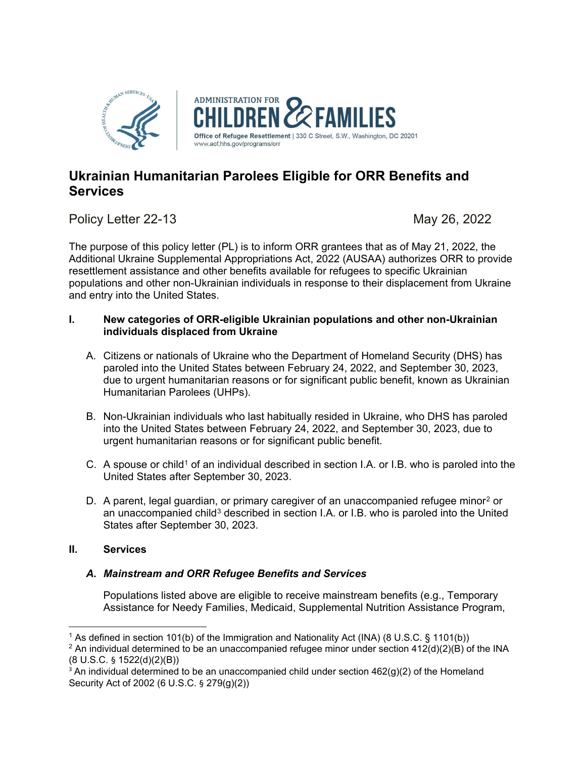

# **Ukrainian Humanitarian Parolees Eligible for ORR Benefits and Services**

Policy Letter 22-13 May 26, 2022

The purpose of this policy letter (PL) is to inform ORR grantees that as of May 21, 2022, the Additional Ukraine Supplemental Appropriations Act, 2022 (AUSAA) authorizes ORR to provide resettlement assistance and other benefits available for refugees to specific Ukrainian populations and other non-Ukrainian individuals in response to their displacement from Ukraine and entry into the United States.

## **I. New categories of ORR-eligible Ukrainian populations and other non-Ukrainian individuals displaced from Ukraine**

- A. Citizens or nationals of Ukraine who the Department of Homeland Security (DHS) has paroled into the United States between February 24, 2022, and September 30, 2023, due to urgent humanitarian reasons or for significant public benefit, known as Ukrainian Humanitarian Parolees (UHPs).
- B. Non-Ukrainian individuals who last habitually resided in Ukraine, who DHS has paroled into the United States between February 24, 2022, and September 30, 2023, due to urgent humanitarian reasons or for significant public benefit.
- C. A spouse or child<sup>[1](#page-0-0)</sup> of an individual described in section I.A. or I.B. who is paroled into the United States after September 30, 2023.
- D. A parent, legal guardian, or primary caregiver of an unaccompanied refugee minor<sup>[2](#page-0-1)</sup> or an unaccompanied child<sup>[3](#page-0-2)</sup> described in section I.A. or I.B. who is paroled into the United States after September 30, 2023.

### **II. Services**

## *A. Mainstream and ORR Refugee Benefits and Services*

Populations listed above are eligible to receive mainstream benefits (e.g., Temporary Assistance for Needy Families, Medicaid, Supplemental Nutrition Assistance Program,

<span id="page-0-1"></span><span id="page-0-0"></span><sup>1</sup> As defined in section 101(b) of the Immigration and Nationality Act (INA) (8 U.S.C. § 1101(b)) <sup>2</sup> An individual determined to be an unaccompanied refugee minor under section  $412(d)(2)(B)$  of the INA (8 U.S.C. § 1522(d)(2)(B))

<span id="page-0-2"></span><sup>&</sup>lt;sup>3</sup> An individual determined to be an unaccompanied child under section  $462(q)(2)$  of the Homeland Security Act of 2002 (6 U.S.C. § 279(g)(2))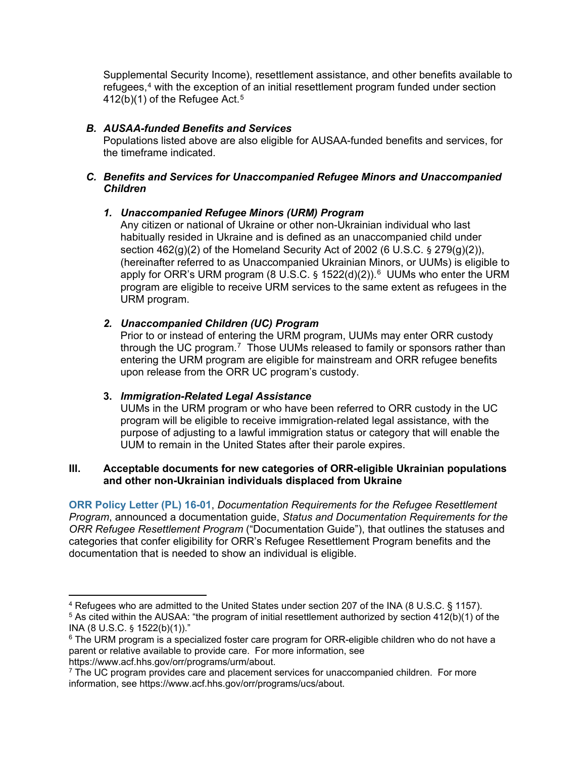Supplemental Security Income), resettlement assistance, and other benefits available to refugees,<sup>[4](#page-1-0)</sup> with the exception of an initial resettlement program funded under section  $412(b)(1)$  of the Refugee Act.<sup>[5](#page-1-1)</sup>

### *B. AUSAA-funded Benefits and Services*

Populations listed above are also eligible for AUSAA-funded benefits and services, for the timeframe indicated.

### *C. Benefits and Services for Unaccompanied Refugee Minors and Unaccompanied Children*

## *1. Unaccompanied Refugee Minors (URM) Program*

Any citizen or national of Ukraine or other non-Ukrainian individual who last habitually resided in Ukraine and is defined as an unaccompanied child under section  $462(q)(2)$  of the Homeland Security Act of 2002 (6 U.S.C. § 279 $(q)(2)$ ), (hereinafter referred to as Unaccompanied Ukrainian Minors, or UUMs) is eligible to apply for ORR's URM program (8 U.S.C. § 1522(d)(2)).<sup>[6](#page-1-2)</sup> UUMs who enter the URM program are eligible to receive URM services to the same extent as refugees in the URM program.

## *2. Unaccompanied Children (UC) Program*

Prior to or instead of entering the URM program, UUMs may enter ORR custody through the UC program.[7](#page-1-3) Those UUMs released to family or sponsors rather than entering the URM program are eligible for mainstream and ORR refugee benefits upon release from the ORR UC program's custody.

### **3.** *Immigration-Related Legal Assistance*

UUMs in the URM program or who have been referred to ORR custody in the UC program will be eligible to receive immigration-related legal assistance, with the purpose of adjusting to a lawful immigration status or category that will enable the UUM to remain in the United States after their parole expires.

#### **III. Acceptable documents for new categories of ORR-eligible Ukrainian populations and other non-Ukrainian individuals displaced from Ukraine**

**[ORR Policy Letter \(PL\) 16-01](https://www.acf.hhs.gov/orr/policy-guidance/status-and-documentation-requirements-orr-refugee-resettlement-program)**, *Documentation Requirements for the Refugee Resettlement Program*, announced a documentation guide, *Status and Documentation Requirements for the ORR Refugee Resettlement Program* ("Documentation Guide"), that outlines the statuses and categories that confer eligibility for ORR's Refugee Resettlement Program benefits and the documentation that is needed to show an individual is eligible.

https://www.acf.hhs.gov/orr/programs/urm/about.

<span id="page-1-1"></span><span id="page-1-0"></span><sup>4</sup> Refugees who are admitted to the United States under section 207 of the INA (8 U.S.C. § 1157). <sup>5</sup> As cited within the AUSAA: "the program of initial resettlement authorized by section 412(b)(1) of the INA (8 U.S.C. § 1522(b)(1))."

<span id="page-1-2"></span> $6$  The URM program is a specialized foster care program for ORR-eligible children who do not have a parent or relative available to provide care. For more information, see

<span id="page-1-3"></span> $7$  The UC program provides care and placement services for unaccompanied children. For more information, see https://www.acf.hhs.gov/orr/programs/ucs/about.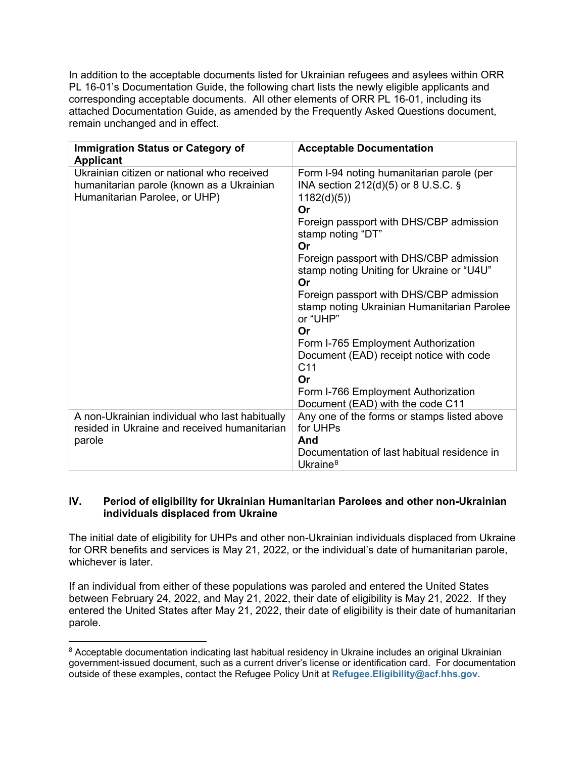In addition to the acceptable documents listed for Ukrainian refugees and asylees within ORR PL 16-01's Documentation Guide, the following chart lists the newly eligible applicants and corresponding acceptable documents. All other elements of ORR PL 16-01, including its attached Documentation Guide, as amended by the Frequently Asked Questions document, remain unchanged and in effect.

| <b>Immigration Status or Category of</b><br><b>Applicant</b>                                                             | <b>Acceptable Documentation</b>                                                                                                                                                                                                                                                                                                                                                                                                                                                           |
|--------------------------------------------------------------------------------------------------------------------------|-------------------------------------------------------------------------------------------------------------------------------------------------------------------------------------------------------------------------------------------------------------------------------------------------------------------------------------------------------------------------------------------------------------------------------------------------------------------------------------------|
| Ukrainian citizen or national who received<br>humanitarian parole (known as a Ukrainian<br>Humanitarian Parolee, or UHP) | Form I-94 noting humanitarian parole (per<br>INA section 212(d)(5) or 8 U.S.C. §<br>1182(d)(5)<br>Or<br>Foreign passport with DHS/CBP admission<br>stamp noting "DT"<br>Or<br>Foreign passport with DHS/CBP admission<br>stamp noting Uniting for Ukraine or "U4U"<br>Or<br>Foreign passport with DHS/CBP admission<br>stamp noting Ukrainian Humanitarian Parolee<br>or "UHP"<br>Or<br>Form I-765 Employment Authorization<br>Document (EAD) receipt notice with code<br>C <sub>11</sub> |
|                                                                                                                          | Or<br>Form I-766 Employment Authorization                                                                                                                                                                                                                                                                                                                                                                                                                                                 |
|                                                                                                                          | Document (EAD) with the code C11                                                                                                                                                                                                                                                                                                                                                                                                                                                          |
| A non-Ukrainian individual who last habitually                                                                           | Any one of the forms or stamps listed above                                                                                                                                                                                                                                                                                                                                                                                                                                               |
| resided in Ukraine and received humanitarian                                                                             | for UHPs<br>And                                                                                                                                                                                                                                                                                                                                                                                                                                                                           |
| parole                                                                                                                   | Documentation of last habitual residence in                                                                                                                                                                                                                                                                                                                                                                                                                                               |
|                                                                                                                          |                                                                                                                                                                                                                                                                                                                                                                                                                                                                                           |
|                                                                                                                          | Ukraine $8$                                                                                                                                                                                                                                                                                                                                                                                                                                                                               |

## **IV. Period of eligibility for Ukrainian Humanitarian Parolees and other non-Ukrainian individuals displaced from Ukraine**

The initial date of eligibility for UHPs and other non-Ukrainian individuals displaced from Ukraine for ORR benefits and services is May 21, 2022, or the individual's date of humanitarian parole, whichever is later.

If an individual from either of these populations was paroled and entered the United States between February 24, 2022, and May 21, 2022, their date of eligibility is May 21, 2022. If they entered the United States after May 21, 2022, their date of eligibility is their date of humanitarian parole.

<span id="page-2-0"></span><sup>&</sup>lt;sup>8</sup> Acceptable documentation indicating last habitual residency in Ukraine includes an original Ukrainian government-issued document, such as a current driver's license or identification card. For documentation outside of these examples, contact the Refugee Policy Unit at **[Refugee.Eligibility@acf.hhs.gov](mailto:Refugee.Eligibility@acf.hhs.gov)**.